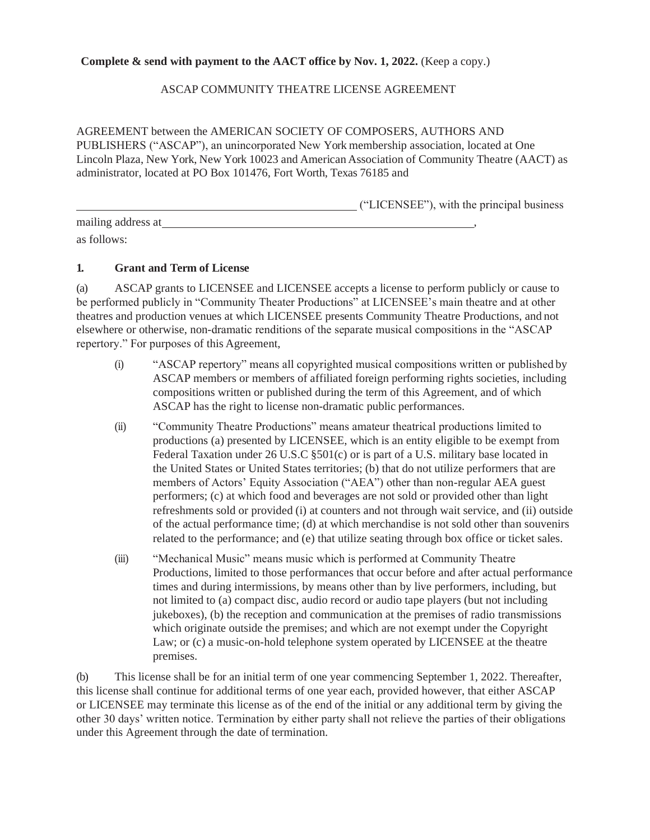### **Complete & send with payment to the AACT office by Nov. 1, 2022.** (Keep a copy.)

### ASCAP COMMUNITY THEATRE LICENSE AGREEMENT

AGREEMENT between the AMERICAN SOCIETY OF COMPOSERS, AUTHORS AND PUBLISHERS ("ASCAP"), an unincorporated New York membership association, located at One Lincoln Plaza, New York, New York 10023 and American Association of Community Theatre (AACT) as administrator, located at PO Box 101476, Fort Worth, Texas 76185 and

("LICENSEE"), with the principal business

| mailing address at |  |
|--------------------|--|
| as follows:        |  |

### **1. Grant and Term of License**

(a) ASCAP grants to LICENSEE and LICENSEE accepts a license to perform publicly or cause to be performed publicly in "Community Theater Productions" at LICENSEE's main theatre and at other theatres and production venues at which LICENSEE presents Community Theatre Productions, and not elsewhere or otherwise, non-dramatic renditions of the separate musical compositions in the "ASCAP repertory." For purposes of this Agreement,

- (i) "ASCAP repertory" means all copyrighted musical compositions written or published by ASCAP members or members of affiliated foreign performing rights societies, including compositions written or published during the term of this Agreement, and of which ASCAP has the right to license non-dramatic public performances.
- (ii) "Community Theatre Productions" means amateur theatrical productions limited to productions (a) presented by LICENSEE, which is an entity eligible to be exempt from Federal Taxation under 26 U.S.C §501(c) or is part of a U.S. military base located in the United States or United States territories; (b) that do not utilize performers that are members of Actors' Equity Association ("AEA") other than non-regular AEA guest performers; (c) at which food and beverages are not sold or provided other than light refreshments sold or provided (i) at counters and not through wait service, and (ii) outside of the actual performance time; (d) at which merchandise is not sold other than souvenirs related to the performance; and (e) that utilize seating through box office or ticket sales.
- (iii) "Mechanical Music" means music which is performed at Community Theatre Productions, limited to those performances that occur before and after actual performance times and during intermissions, by means other than by live performers, including, but not limited to (a) compact disc, audio record or audio tape players (but not including jukeboxes), (b) the reception and communication at the premises of radio transmissions which originate outside the premises; and which are not exempt under the Copyright Law; or (c) a music-on-hold telephone system operated by LICENSEE at the theatre premises.

(b) This license shall be for an initial term of one year commencing September 1, 2022. Thereafter, this license shall continue for additional terms of one year each, provided however, that either ASCAP or LICENSEE may terminate this license as of the end of the initial or any additional term by giving the other 30 days' written notice. Termination by either party shall not relieve the parties of their obligations under this Agreement through the date of termination.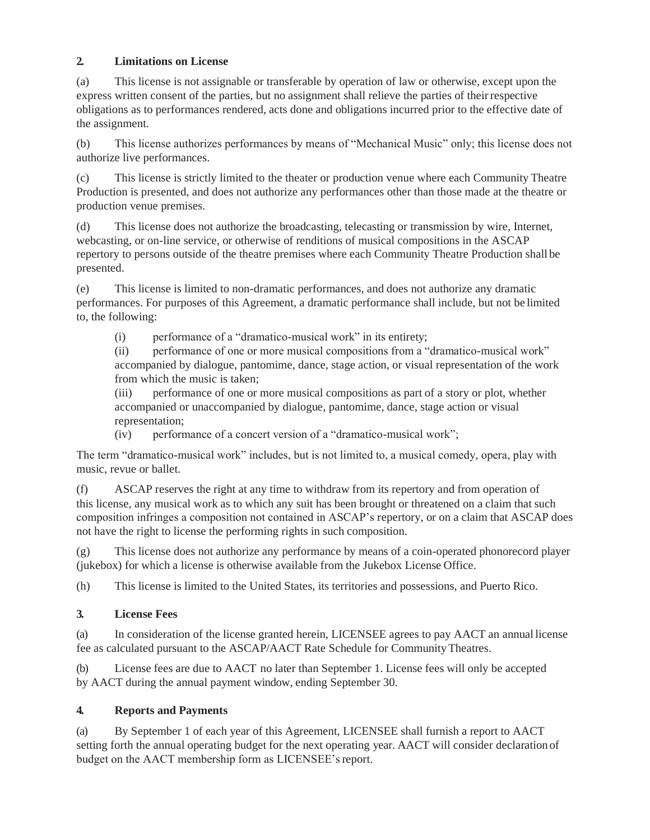# **2. Limitations on License**

(a) This license is not assignable or transferable by operation of law or otherwise, except upon the express written consent of the parties, but no assignment shall relieve the parties of theirrespective obligations as to performances rendered, acts done and obligations incurred prior to the effective date of the assignment.

(b) This license authorizes performances by means of "Mechanical Music" only; this license does not authorize live performances.

(c) This license is strictly limited to the theater or production venue where each Community Theatre Production is presented, and does not authorize any performances other than those made at the theatre or production venue premises.

(d) This license does not authorize the broadcasting, telecasting or transmission by wire, Internet, webcasting, or on-line service, or otherwise of renditions of musical compositions in the ASCAP repertory to persons outside of the theatre premises where each Community Theatre Production shall be presented.

(e) This license is limited to non-dramatic performances, and does not authorize any dramatic performances. For purposes of this Agreement, a dramatic performance shall include, but not be limited to, the following:

(i) performance of a "dramatico-musical work" in its entirety;

(ii) performance of one or more musical compositions from a "dramatico-musical work" accompanied by dialogue, pantomime, dance, stage action, or visual representation of the work from which the music is taken;

(iii) performance of one or more musical compositions as part of a story or plot, whether accompanied or unaccompanied by dialogue, pantomime, dance, stage action or visual representation;

(iv) performance of a concert version of a "dramatico-musical work";

The term "dramatico-musical work" includes, but is not limited to, a musical comedy, opera, play with music, revue or ballet.

(f) ASCAP reserves the right at any time to withdraw from its repertory and from operation of this license, any musical work as to which any suit has been brought or threatened on a claim that such composition infringes a composition not contained in ASCAP's repertory, or on a claim that ASCAP does not have the right to license the performing rights in such composition.

(g) This license does not authorize any performance by means of a coin-operated phonorecord player (jukebox) for which a license is otherwise available from the Jukebox License Office.

(h) This license is limited to the United States, its territories and possessions, and Puerto Rico.

# **3. License Fees**

(a) In consideration of the license granted herein, LICENSEE agrees to pay AACT an annual license fee as calculated pursuant to the ASCAP/AACT Rate Schedule for Community Theatres.

(b) License fees are due to AACT no later than September 1. License fees will only be accepted by AACT during the annual payment window, ending September 30.

# **4. Reports and Payments**

(a) By September 1 of each year of this Agreement, LICENSEE shall furnish a report to AACT setting forth the annual operating budget for the next operating year. AACT will consider declaration of budget on the AACT membership form as LICENSEE's report.